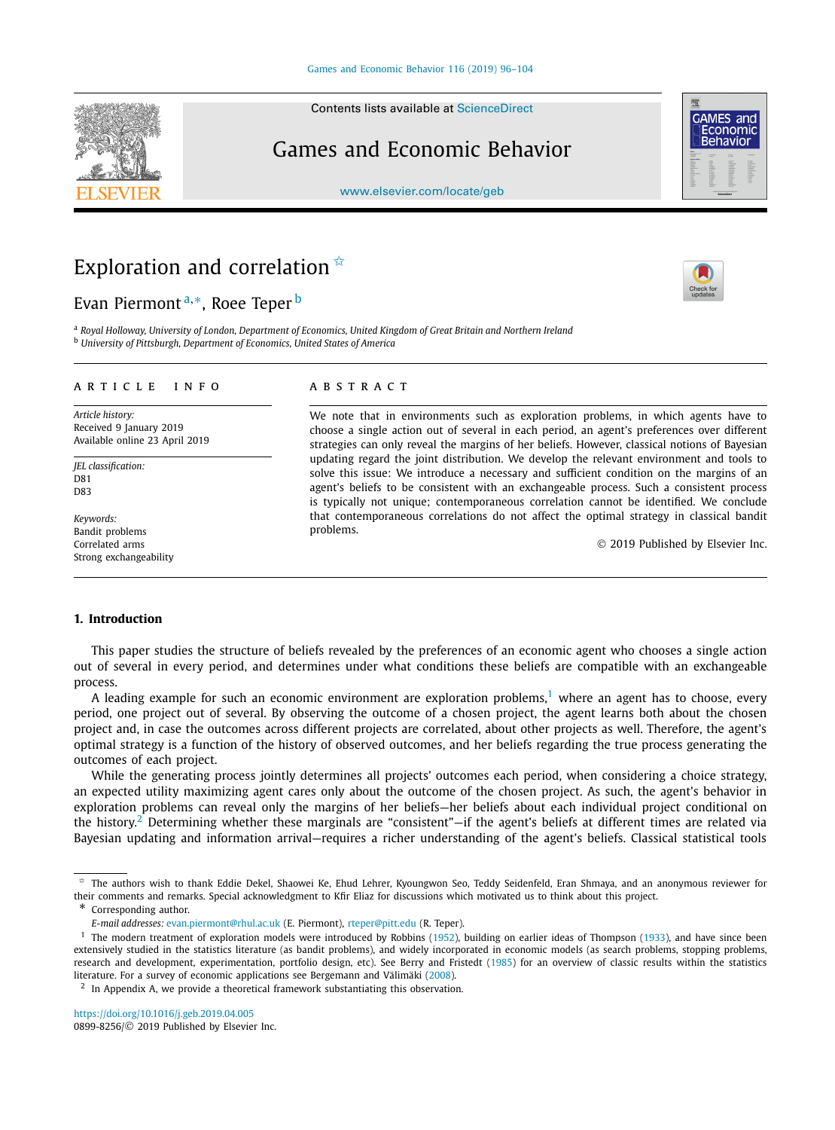Contents lists available at [ScienceDirect](http://www.ScienceDirect.com/)

# Games and Economic Behavior

[www.elsevier.com/locate/geb](http://www.elsevier.com/locate/geb)

# Exploration and correlation  $\overline{x}$

## Evan Piermont <sup>a</sup>*,*∗, Roee Teper <sup>b</sup>

<sup>a</sup> Roval Hollowav, University of London, Department of Economics, United Kingdom of Great Britain and Northern Ireland <sup>b</sup> *University of Pittsburgh, Department of Economics, United States of America*

#### A R T I C L E I N F O A B S T R A C T

*Article history:* Received 9 January 2019 Available online 23 April 2019

*JEL classification:*  $DS1$ D83

*Keywords:* Bandit problems Correlated arms Strong exchangeability

We note that in environments such as exploration problems, in which agents have to choose a single action out of several in each period, an agent's preferences over different strategies can only reveal the margins of her beliefs. However, classical notions of Bayesian updating regard the joint distribution. We develop the relevant environment and tools to solve this issue: We introduce a necessary and sufficient condition on the margins of an agent's beliefs to be consistent with an exchangeable process. Such a consistent process is typically not unique; contemporaneous correlation cannot be identified. We conclude that contemporaneous correlations do not affect the optimal strategy in classical bandit problems.

© 2019 Published by Elsevier Inc.

#### **1. Introduction**

This paper studies the structure of beliefs revealed by the preferences of an economic agent who chooses a single action out of several in every period, and determines under what conditions these beliefs are compatible with an exchangeable process.

A leading example for such an economic environment are exploration problems,<sup>1</sup> where an agent has to choose, every period, one project out of several. By observing the outcome of a chosen project, the agent learns both about the chosen project and, in case the outcomes across different projects are correlated, about other projects as well. Therefore, the agent's optimal strategy is a function of the history of observed outcomes, and her beliefs regarding the true process generating the outcomes of each project.

While the generating process jointly determines all projects' outcomes each period, when considering a choice strategy, an expected utility maximizing agent cares only about the outcome of the chosen project. As such, the agent's behavior in exploration problems can reveal only the margins of her beliefs—her beliefs about each individual project conditional on the history.<sup>2</sup> Determining whether these marginals are "consistent"—if the agent's beliefs at different times are related via Bayesian updating and information arrival—requires a richer understanding of the agent's beliefs. Classical statistical tools

Corresponding author.

 $2\,$  In Appendix A, we provide a theoretical framework substantiating this observation.







<sup>✩</sup> The authors wish to thank Eddie Dekel, Shaowei Ke, Ehud Lehrer, Kyoungwon Seo, Teddy Seidenfeld, Eran Shmaya, and an anonymous reviewer for their comments and remarks. Special acknowledgment to Kfir Eliaz for discussions which motivated us to think about this project.

*E-mail addresses:* [evan.piermont@rhul.ac.uk](mailto:evan.piermont@rhul.ac.uk) (E. Piermont), [rteper@pitt.edu](mailto:rteper@pitt.edu) (R. Teper).

<sup>&</sup>lt;sup>1</sup> The modern treatment of exploration models were introduced by Robbins [\(1952\)](#page-8-0), building on earlier ideas of Thompson [\(1933\)](#page-8-0), and have since been extensively studied in the statistics literature (as bandit problems), and widely incorporated in economic models (as search problems, stopping problems, research and development, experimentation, portfolio design, etc). See Berry and Fristedt [\(1985\)](#page-7-0) for an overview of classic results within the statistics literature. For a survey of economic applications see Bergemann and Välimäki [\(2008\)](#page-7-0).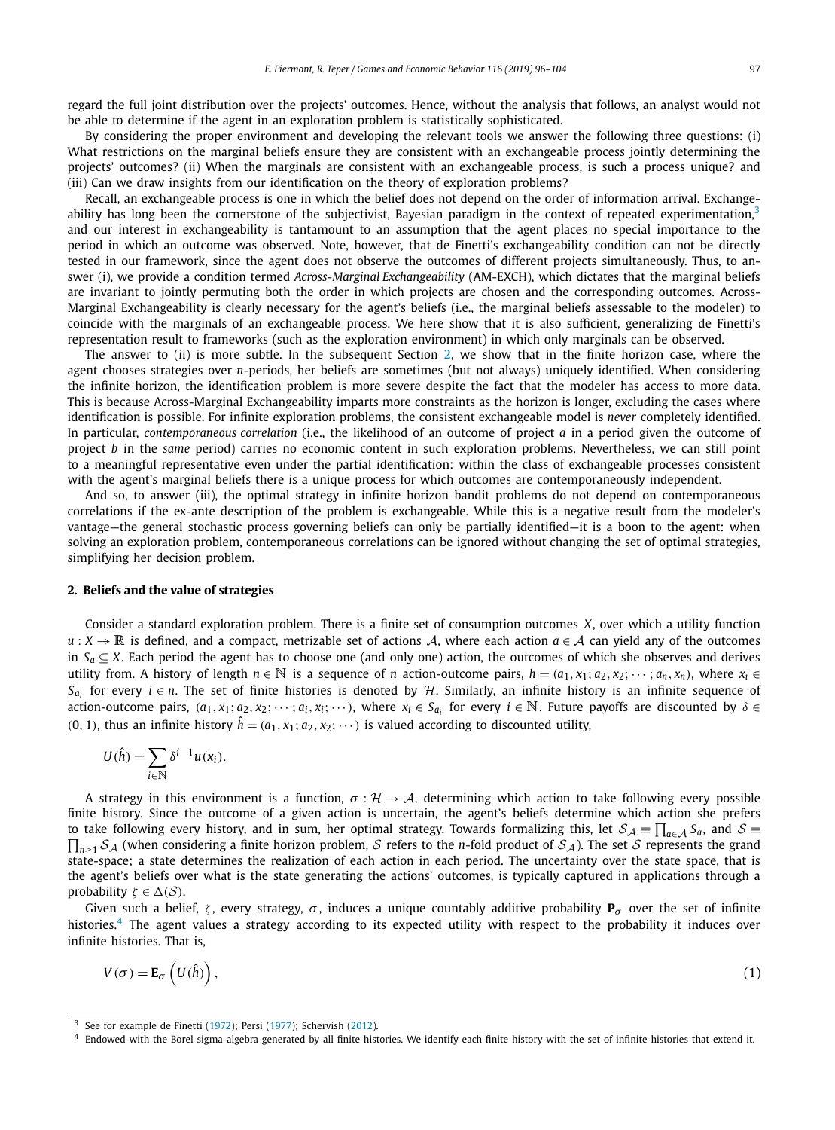<span id="page-1-0"></span>regard the full joint distribution over the projects' outcomes. Hence, without the analysis that follows, an analyst would not be able to determine if the agent in an exploration problem is statistically sophisticated.

By considering the proper environment and developing the relevant tools we answer the following three questions: (i) What restrictions on the marginal beliefs ensure they are consistent with an exchangeable process jointly determining the projects' outcomes? (ii) When the marginals are consistent with an exchangeable process, is such a process unique? and (iii) Can we draw insights from our identification on the theory of exploration problems?

Recall, an exchangeable process is one in which the belief does not depend on the order of information arrival. Exchangeability has long been the cornerstone of the subjectivist, Bayesian paradigm in the context of repeated experimentation,<sup>3</sup> and our interest in exchangeability is tantamount to an assumption that the agent places no special importance to the period in which an outcome was observed. Note, however, that de Finetti's exchangeability condition can not be directly tested in our framework, since the agent does not observe the outcomes of different projects simultaneously. Thus, to answer (i), we provide a condition termed *Across-Marginal Exchangeability* (AM-EXCH), which dictates that the marginal beliefs are invariant to jointly permuting both the order in which projects are chosen and the corresponding outcomes. Across-Marginal Exchangeability is clearly necessary for the agent's beliefs (i.e., the marginal beliefs assessable to the modeler) to coincide with the marginals of an exchangeable process. We here show that it is also sufficient, generalizing de Finetti's representation result to frameworks (such as the exploration environment) in which only marginals can be observed.

The answer to (ii) is more subtle. In the subsequent Section 2, we show that in the finite horizon case, where the agent chooses strategies over *n*-periods, her beliefs are sometimes (but not always) uniquely identified. When considering the infinite horizon, the identification problem is more severe despite the fact that the modeler has access to more data. This is because Across-Marginal Exchangeability imparts more constraints as the horizon is longer, excluding the cases where identification is possible. For infinite exploration problems, the consistent exchangeable model is *never* completely identified. In particular, *contemporaneous correlation* (i.e., the likelihood of an outcome of project *a* in a period given the outcome of project *b* in the *same* period) carries no economic content in such exploration problems. Nevertheless, we can still point to a meaningful representative even under the partial identification: within the class of exchangeable processes consistent with the agent's marginal beliefs there is a unique process for which outcomes are contemporaneously independent.

And so, to answer (iii), the optimal strategy in infinite horizon bandit problems do not depend on contemporaneous correlations if the ex-ante description of the problem is exchangeable. While this is a negative result from the modeler's vantage—the general stochastic process governing beliefs can only be partially identified—it is a boon to the agent: when solving an exploration problem, contemporaneous correlations can be ignored without changing the set of optimal strategies, simplifying her decision problem.

#### **2. Beliefs and the value of strategies**

Consider a standard exploration problem. There is a finite set of consumption outcomes *X*, over which a utility function *u* : *X* →  $\mathbb R$  is defined, and a compact, metrizable set of actions *A*, where each action *a* ∈ *A* can yield any of the outcomes in  $S<sub>α</sub>$  ⊂ *X*. Each period the agent has to choose one (and only one) action, the outcomes of which she observes and derives utility from. A history of length  $n \in \mathbb{N}$  is a sequence of *n* action-outcome pairs,  $h = (a_1, x_1; a_2, x_2; \dots; a_n, x_n)$ , where  $x_i \in \mathbb{N}$  $S_{a_i}$  for every  $i \in n$ . The set of finite histories is denoted by H. Similarly, an infinite history is an infinite sequence of action-outcome pairs,  $(a_1, x_1; a_2, x_2; \dots; a_i, x_i; \dots)$ , where  $x_i \in S_{a_i}$  for every  $i \in \mathbb{N}$ . Future payoffs are discounted by  $\delta \in$  $(0, 1)$ , thus an infinite history  $\hat{h} = (a_1, x_1; a_2, x_2; \cdots)$  is valued according to discounted utility,

$$
U(\hat{h}) = \sum_{i \in \mathbb{N}} \delta^{i-1} u(x_i).
$$

A strategy in this environment is a function,  $\sigma : \mathcal{H} \to \mathcal{A}$ , determining which action to take following every possible finite history. Since the outcome of a given action is uncertain, the agent's beliefs determine which action she prefers to take following every history, and in sum, her optimal strategy. Towards formalizing this, let  $S_A \equiv \prod_{a \in A} S_a$ , and  $S \equiv$ to take following every history, and in sum, her optimal strategy. Towards formalizing this, let  $S_A \equiv \prod_{a \in A} S_a$ , and  $S \equiv \prod_{n \ge 1} S_A$  (when considering a finite horizon problem, S refers to the *n*-fold product of  $S_A$ ) state-space; a state determines the realization of each action in each period. The uncertainty over the state space, that is the agent's beliefs over what is the state generating the actions' outcomes, is typically captured in applications through a probability  $\zeta \in \Delta(\mathcal{S})$ .

Given such a belief, *ζ* , every strategy, *σ* , induces a unique countably additive probability **P***σ* over the set of infinite histories.<sup>4</sup> The agent values a strategy according to its expected utility with respect to the probability it induces over infinite histories. That is,

$$
V(\sigma) = \mathbf{E}_{\sigma} \left( U(\hat{h}) \right), \tag{1}
$$

<sup>&</sup>lt;sup>3</sup> See for example de Finetti [\(1972\)](#page-7-0); Persi [\(1977\)](#page-7-0); Schervish [\(2012\)](#page-8-0).

<sup>4</sup> Endowed with the Borel sigma-algebra generated by all finite histories. We identify each finite history with the set of infinite histories that extend it.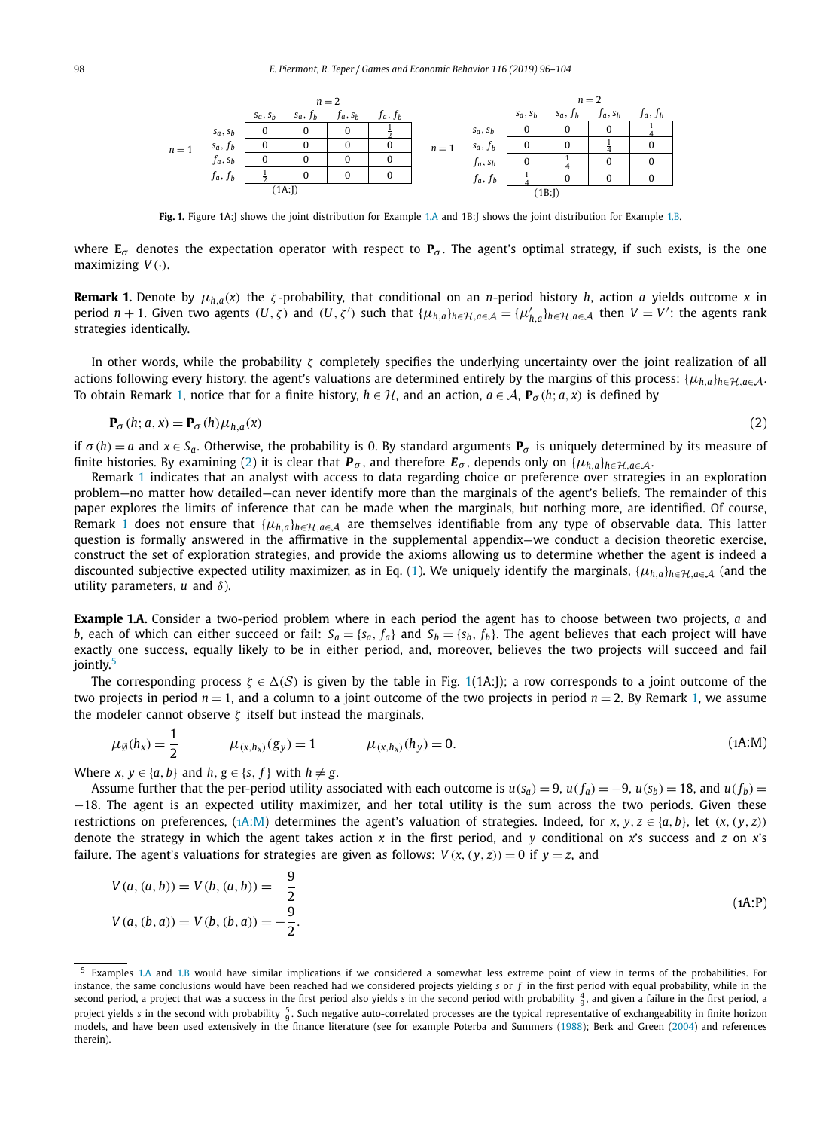<span id="page-2-0"></span>

**Fig. 1.** Figure 1A:J shows the joint distribution for Example 1.A and 1B:J shows the joint distribution for Example [1.B.](#page-3-0)

where  $\mathbf{E}_{\sigma}$  denotes the expectation operator with respect to  $\mathbf{P}_{\sigma}$ . The agent's optimal strategy, if such exists, is the one maximizing *V (*·*)*.

**Remark 1.** Denote by  $\mu_{h,a}(x)$  the *ζ*-probability, that conditional on an *n*-period history *h*, action *a* yields outcome *x* in period  $n + 1$ . Given two agents  $(U, \zeta)$  and  $(U, \zeta')$  such that  $\{\mu_{h,a}\}_{h \in H, a \in A} = \{\mu'_{h,a}\}_{h \in H, a \in A}$  then  $V = V'$ : the agents rank strategies identically.

In other words, while the probability *ζ* completely specifies the underlying uncertainty over the joint realization of all actions following every history, the agent's valuations are determined entirely by the margins of this process:  $\{\mu_{h,a}\}_{h\in\mathcal{H},a\in\mathcal{A}}$ . To obtain Remark 1, notice that for a finite history,  $h \in H$ , and an action,  $a \in A$ ,  $P_\sigma(h; a, x)$  is defined by

$$
\mathbf{P}_{\sigma}(h; a, x) = \mathbf{P}_{\sigma}(h)\mu_{h, a}(x) \tag{2}
$$

if *σ*(*h*) = *a* and *x* ∈ *S<sub><i>a*</sub>. Otherwise, the probability is 0. By standard arguments **P**<sub>*σ*</sub> is uniquely determined by its measure of finite histories. By examining (2) it is clear that  $P_\sigma$ , and therefore  $E_\sigma$ , depends only on  $\{\mu_{h,a}\}_{h\in\mathcal{H},a\in\mathcal{A}}$ .

Remark 1 indicates that an analyst with access to data regarding choice or preference over strategies in an exploration problem—no matter how detailed—can never identify more than the marginals of the agent's beliefs. The remainder of this paper explores the limits of inference that can be made when the marginals, but nothing more, are identified. Of course, Remark 1 does not ensure that  $\{\mu_{h,a}\}_{h\in\mathcal{H},a\in\mathcal{A}}$  are themselves identifiable from any type of observable data. This latter question is formally answered in the affirmative in the supplemental appendix—we conduct a decision theoretic exercise, construct the set of exploration strategies, and provide the axioms allowing us to determine whether the agent is indeed a discounted subjective expected utility maximizer, as in Eq. [\(1\)](#page-1-0). We uniquely identify the marginals,  $\{\mu_{h,a}\}_{h\in\mathcal{H},a\in\mathcal{A}}$  (and the utility parameters, *u* and *δ*).

**Example 1.A.** Consider a two-period problem where in each period the agent has to choose between two projects, *a* and *b*, each of which can either succeed or fail:  $S_a = \{s_a, f_a\}$  and  $S_b = \{s_b, f_b\}$ . The agent believes that each project will have exactly one success, equally likely to be in either period, and, moreover, believes the two projects will succeed and fail jointly.<sup>5</sup>

The corresponding process  $\zeta \in \Delta(\mathcal{S})$  is given by the table in Fig. 1(1A:J); a row corresponds to a joint outcome of the two projects in period  $n = 1$ , and a column to a joint outcome of the two projects in period  $n = 2$ . By Remark 1, we assume the modeler cannot observe  $\zeta$  itself but instead the marginals,

$$
\mu_{\emptyset}(h_x) = \frac{1}{2} \qquad \mu_{(x, h_x)}(g_y) = 1 \qquad \mu_{(x, h_x)}(h_y) = 0. \qquad (1A:M)
$$

Where  $x, y \in \{a, b\}$  and  $h, g \in \{s, f\}$  with  $h \neq g$ .

Assume further that the per-period utility associated with each outcome is  $u(s_0) = 9$ ,  $u(f_0) = -9$ ,  $u(s_0) = 18$ , and  $u(f_0) =$ −18. The agent is an expected utility maximizer, and her total utility is the sum across the two periods. Given these restrictions on preferences, (1A:M) determines the agent's valuation of strategies. Indeed, for x, y,  $z \in \{a, b\}$ , let  $(x, (y, z))$ denote the strategy in which the agent takes action *x* in the first period, and *y* conditional on *x*'s success and *z* on *x*'s failure. The agent's valuations for strategies are given as follows:  $V(x, (y, z)) = 0$  if  $y = z$ , and

$$
V(a, (a, b)) = V(b, (a, b)) = \frac{9}{2}
$$
  
\n
$$
V(a, (b, a)) = V(b, (b, a)) = -\frac{9}{2}.
$$
\n(1A: P)

<sup>5</sup> Examples 1.A and [1.B](#page-3-0) would have similar implications if we considered a somewhat less extreme point of view in terms of the probabilities. For instance, the same conclusions would have been reached had we considered projects yielding *s* or *f* in the first period with equal probability, while in the second period, a project that was a success in the first period also yields *s* in the second period with probability  $\frac{4}{9}$ , and given a failure in the first period, a project yields *s* in the second with probability  $\frac{5}{9}$ . Such negative auto-correlated processes are the typical representative of exchangeability in finite horizon models, and have been used extensively in the finance literature (see for example Poterba and Summers [\(1988\)](#page-8-0); Berk and Green [\(2004\)](#page-7-0) and references therein).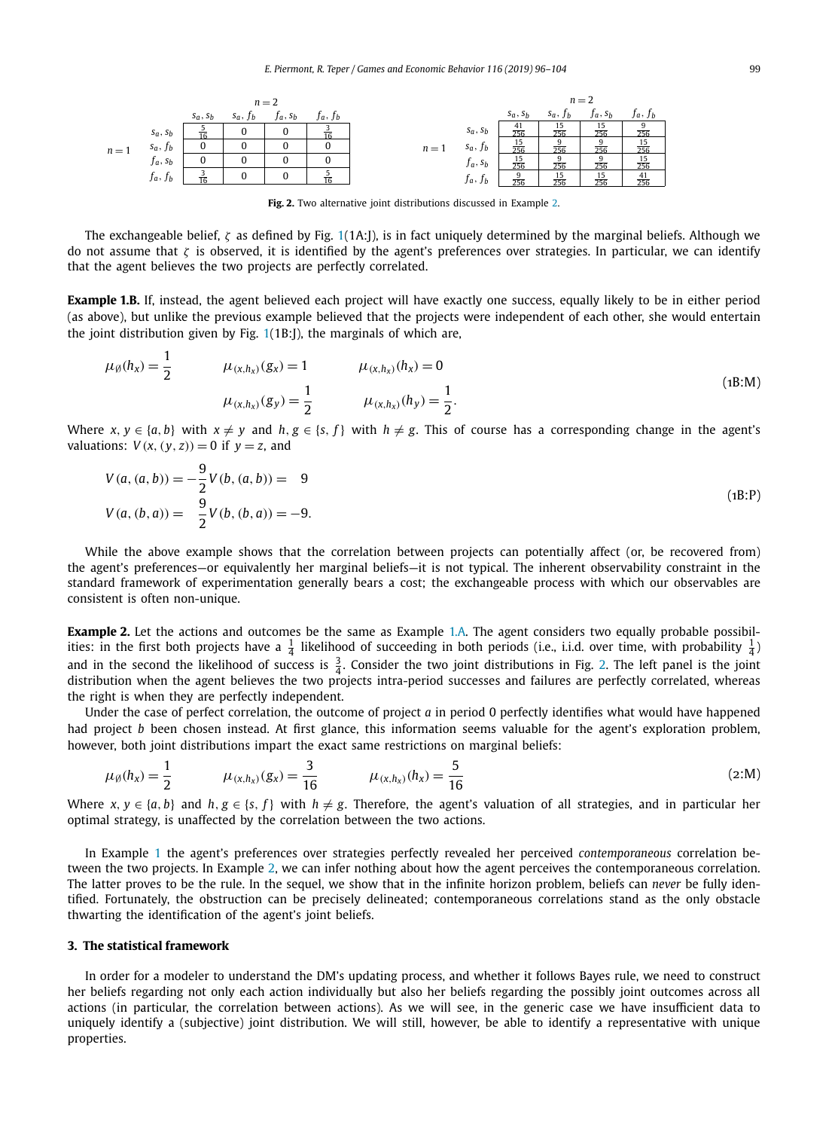<span id="page-3-0"></span>

**Fig. 2.** Two alternative joint distributions discussed in Example 2.

The exchangeable belief, *ζ* as defined by Fig. [1\(](#page-2-0)1A:J), is in fact uniquely determined by the marginal beliefs. Although we do not assume that *ζ* is observed, it is identified by the agent's preferences over strategies. In particular, we can identify that the agent believes the two projects are perfectly correlated.

**Example 1.B.** If, instead, the agent believed each project will have exactly one success, equally likely to be in either period (as above), but unlike the previous example believed that the projects were independent of each other, she would entertain the joint distribution given by Fig. [1\(](#page-2-0)1B:J), the marginals of which are,

$$
\mu_{\emptyset}(h_x) = \frac{1}{2} \qquad \mu_{(x, h_x)}(g_x) = 1 \qquad \mu_{(x, h_x)}(h_x) = 0
$$
\n
$$
\mu_{(x, h_x)}(g_y) = \frac{1}{2} \qquad \mu_{(x, h_x)}(h_y) = \frac{1}{2}.
$$
\n(1B:M)

Where  $x, y \in \{a, b\}$  with  $x \neq y$  and  $h, g \in \{s, f\}$  with  $h \neq g$ . This of course has a corresponding change in the agent's valuations:  $V(x, (y, z)) = 0$  if  $y = z$ , and

$$
V(a, (a, b)) = -\frac{9}{2}V(b, (a, b)) = 9
$$
  
\n
$$
V(a, (b, a)) = \frac{9}{2}V(b, (b, a)) = -9.
$$
\n(1B:P)

While the above example shows that the correlation between projects can potentially affect (or, be recovered from) the agent's preferences—or equivalently her marginal beliefs—it is not typical. The inherent observability constraint in the standard framework of experimentation generally bears a cost; the exchangeable process with which our observables are consistent is often non-unique.

**Example 2.** Let the actions and outcomes be the same as Example [1.A.](#page-2-0) The agent considers two equally probable possibilities: in the first both projects have a  $\frac{1}{4}$  likelihood of succeeding in both periods (i.e., i.i.d. over time, with probability  $\frac{1}{4}$ ) and in the second the likelihood of success is  $\frac{3}{4}$ . Consider the two joint distributions in Fig. 2. The left panel is the joint distribution when the agent believes the two projects intra-period successes and failures are perfectly correlated, whereas the right is when they are perfectly independent.

Under the case of perfect correlation, the outcome of project *a* in period 0 perfectly identifies what would have happened had project *b* been chosen instead. At first glance, this information seems valuable for the agent's exploration problem, however, both joint distributions impart the exact same restrictions on marginal beliefs:

$$
\mu_{\emptyset}(h_x) = \frac{1}{2} \qquad \mu_{(x, h_x)}(g_x) = \frac{3}{16} \qquad \mu_{(x, h_x)}(h_x) = \frac{5}{16} \qquad (2:M)
$$

Where  $x, y \in \{a, b\}$  and  $h, g \in \{s, f\}$  with  $h \neq g$ . Therefore, the agent's valuation of all strategies, and in particular her optimal strategy, is unaffected by the correlation between the two actions.

In Example [1](#page-2-0) the agent's preferences over strategies perfectly revealed her perceived *contemporaneous* correlation between the two projects. In Example 2, we can infer nothing about how the agent perceives the contemporaneous correlation. The latter proves to be the rule. In the sequel, we show that in the infinite horizon problem, beliefs can *never* be fully identified. Fortunately, the obstruction can be precisely delineated; contemporaneous correlations stand as the only obstacle thwarting the identification of the agent's joint beliefs.

#### **3. The statistical framework**

In order for a modeler to understand the DM's updating process, and whether it follows Bayes rule, we need to construct her beliefs regarding not only each action individually but also her beliefs regarding the possibly joint outcomes across all actions (in particular, the correlation between actions). As we will see, in the generic case we have insufficient data to uniquely identify a (subjective) joint distribution. We will still, however, be able to identify a representative with unique properties.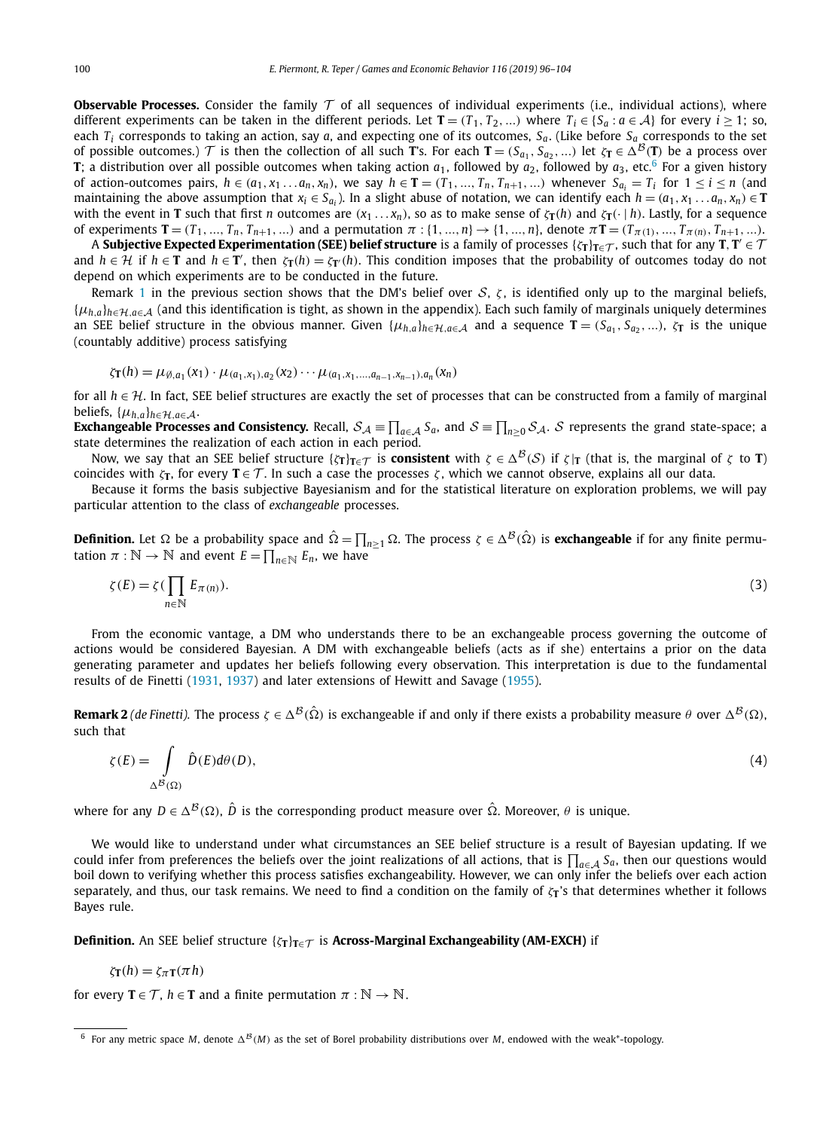**Observable Processes.** Consider the family  $T$  of all sequences of individual experiments (i.e., individual actions), where different experiments can be taken in the different periods. Let  $\mathbf{T} = (T_1, T_2, ...)$  where  $T_i \in \{S_a : a \in \mathcal{A}\}\)$  for every  $i \geq 1$ ; so, each  $T_i$  corresponds to taking an action, say *a*, and expecting one of its outcomes,  $S_a$ . (Like before  $S_a$  corresponds to the set of possible outcomes.) T is then the collection of all such **T**'s. For each **T** =  $(S_{a_1}, S_{a_2}, ...)$  let  $\zeta_T \in \Delta^B(T)$  be a process over **T**; a distribution over all possible outcomes when taking action  $a_1$ , followed by  $a_2$ , followed by  $a_3$ , etc.<sup>6</sup> For a given history of action-outcomes pairs,  $h \in (a_1, x_1... a_n, x_n)$ , we say  $h \in \mathbf{T} = (T_1,..., T_n, T_{n+1}, ...)$  whenever  $S_{a_i} = T_i$  for  $1 \le i \le n$  (and maintaining the above assumption that  $x_i \in S_{a_i}$ ). In a slight abuse of notation, we can identify each  $h = (a_1, x_1 \ldots a_n, x_n) \in \mathbf{T}$ with the event in **T** such that first *n* outcomes are  $(x_1...x_n)$ , so as to make sense of  $\zeta_{\text{T}}(h)$  and  $\zeta_{\text{T}}(\cdot|h)$ . Lastly, for a sequence of experiments  $T = (T_1, ..., T_n, T_{n+1}, ...)$  and a permutation  $\pi : \{1, ..., n\} \to \{1, ..., n\}$ , denote  $\pi T = (T_{\pi(1)}, ..., T_{\pi(n)}, T_{n+1}, ...)$ .

A **Subjective Expected Experimentation (SEE) belief structure** is a family of processes  $\{\zeta_T\}_{T\in\mathcal{T}}$ , such that for any  $T, T'\in\mathcal{T}$ and  $h \in H$  if  $h \in T$  and  $h \in T'$ , then  $\zeta_T(h) = \zeta_T(h)$ . This condition imposes that the probability of outcomes today do not depend on which experiments are to be conducted in the future.

Remark [1](#page-2-0) in the previous section shows that the DM's belief over  $S$ ,  $\zeta$ , is identified only up to the marginal beliefs,  $\{\mu_{h,a}\}_{h\in\mathcal{H},a\in\mathcal{A}}$  (and this identification is tight, as shown in the appendix). Each such family of marginals uniquely determines an SEE belief structure in the obvious manner. Given  $\{\mu_{h,a}\}_{h\in\mathcal{H},a\in\mathcal{A}}$  and a sequence  $\mathbf{T}=(S_{a_1},S_{a_2},...),\zeta_{\mathbf{T}}$  is the unique (countably additive) process satisfying

$$
\zeta_{\mathbf{T}}(h) = \mu_{\emptyset, a_1}(x_1) \cdot \mu_{(a_1, x_1), a_2}(x_2) \cdots \mu_{(a_1, x_1, \ldots, a_{n-1}, x_{n-1}), a_n}(x_n)
$$

for all *<sup>h</sup>* ∈ H. In fact, SEE belief structures are exactly the set of processes that can be constructed from <sup>a</sup> family of marginal beliefs,  $\{\mu_{h,a}\}_{h \in \mathcal{H}, a \in \mathcal{A}}$ .

**Exchangeable Processes and Consistency.** Recall,  $S_A \equiv \prod_{a \in A} S_a$ , and  $S \equiv \prod_{n \ge 0} S_A$ . S represents the grand state-space; a state-space state-space; a state determines the realization of each action in each period.

Now, we say that an SEE belief structure { $\zeta$ **T**} $T ∈ T$  is **consistent** with  $\zeta ∈ Δ^{\mathcal{B}}(S)$  if  $\zeta$  |**T** (that is, the marginal of  $\zeta$  to **T**) coincides with  $\zeta_T$ , for every **T** ∈ T. In such a case the processes  $\zeta$ , which we cannot observe, explains all our data.

Because it forms the basis subjective Bayesianism and for the statistical literature on exploration problems, we will pay particular attention to the class of *exchangeable* processes.

**Definition.** Let  $\Omega$  be a probability space and  $\hat{\Omega} = \prod_{n\geq 1}\Omega$ . The process  $\zeta\in \Delta^\mathcal{B}(\hat{\Omega})$  is **exchangeable** if for any finite permutation  $\pi : \mathbb{N} \to \mathbb{N}$  and event  $E = \prod_{n \in \mathbb{N}} E_n$ , we have

$$
\zeta(E) = \zeta(\prod_{n \in \mathbb{N}} E_{\pi(n)}).
$$
 (3)

From the economic vantage, a DM who understands there to be an exchangeable process governing the outcome of actions would be considered Bayesian. A DM with exchangeable beliefs (acts as if she) entertains a prior on the data generating parameter and updates her beliefs following every observation. This interpretation is due to the fundamental results of de Finetti [\(1931,](#page-7-0) [1937\)](#page-7-0) and later extensions of Hewitt and Savage [\(1955\)](#page-7-0).

**Remark 2** *(de Finetti).* The process  $\zeta \in \Delta^B(\hat{\Omega})$  is exchangeable if and only if there exists a probability measure  $\theta$  over  $\Delta^B(\Omega)$ , such that

$$
\zeta(E) = \int_{\Delta^B(\Omega)} \hat{D}(E) d\theta(D),\tag{4}
$$

where for any  $D \in \Delta^{\mathcal{B}}(\Omega)$ ,  $\hat{D}$  is the corresponding product measure over  $\hat{\Omega}$ . Moreover,  $\theta$  is unique.

We would like to understand under what circumstances an SEE belief structure is a result of Bayesian updating. If we could infer from preferences the beliefs over the joint realizations of all actions, that is  $\prod_{a \in A} S_a$ , then our questions would boil down to verifying whether this process satisfies exchangeability. However, we can only infer the beliefs over each action separately, and thus, our task remains. We need to find a condition on the family of *ζ***<sup>T</sup>** 's that determines whether it follows Bayes rule.

**Definition.** An SEE belief structure  $\{\zeta_T\}_{T \in \mathcal{T}}$  is **Across-Marginal Exchangeability** (AM-EXCH) if

$$
\zeta_{\mathbf{T}}(h) = \zeta_{\pi \mathbf{T}}(\pi h)
$$

for every  $T \in \mathcal{T}$ ,  $h \in T$  and a finite permutation  $\pi : \mathbb{N} \to \mathbb{N}$ .

<sup>&</sup>lt;sup>6</sup> For any metric space *M*, denote  $\Delta^{B}(M)$  as the set of Borel probability distributions over *M*, endowed with the weak\*-topology.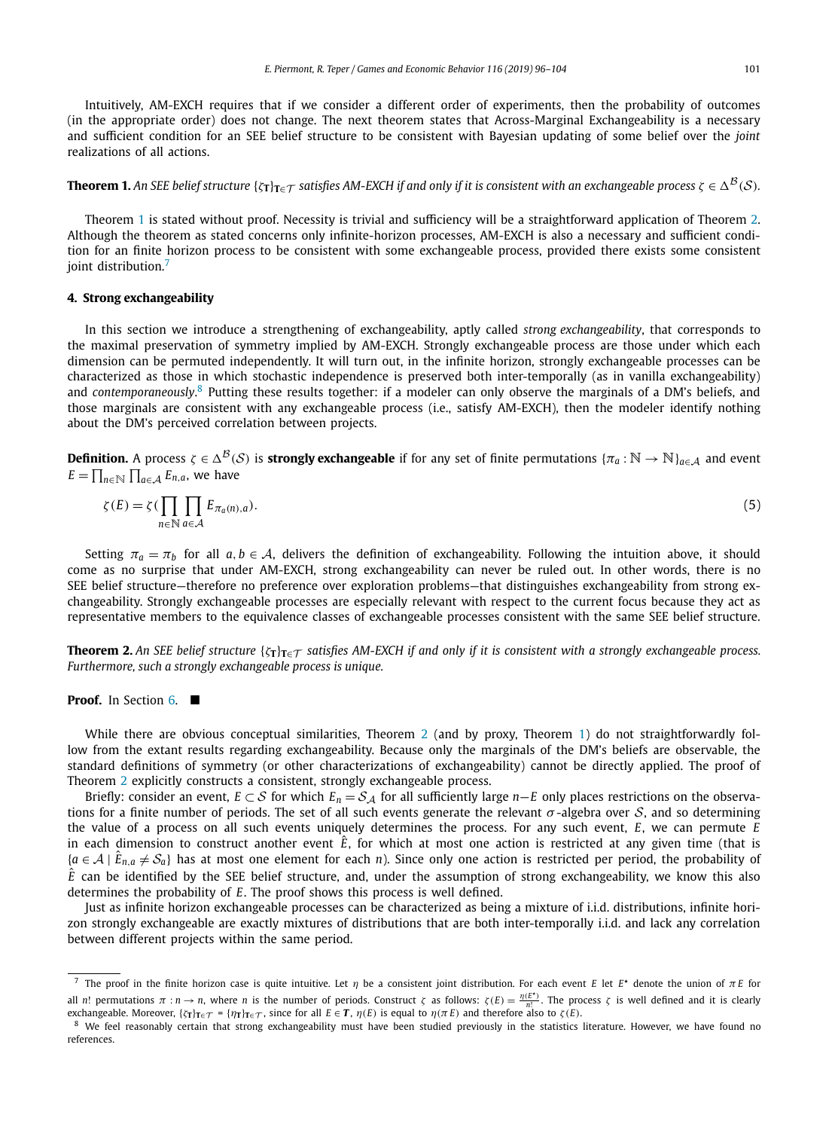<span id="page-5-0"></span>Intuitively, AM-EXCH requires that if we consider a different order of experiments, then the probability of outcomes (in the appropriate order) does not change. The next theorem states that Across-Marginal Exchangeability is a necessary and sufficient condition for an SEE belief structure to be consistent with Bayesian updating of some belief over the *joint* realizations of all actions.

**Theorem 1.** An SEE belief structure  $\{\zeta_T\}_{T \in \mathcal{T}}$  satisfies AM-EXCH if and only if it is consistent with an exchangeable process  $\zeta \in \Delta^{\mathcal{B}}(\mathcal{S})$ .

Theorem 1 is stated without proof. Necessity is trivial and sufficiency will be a straightforward application of Theorem 2. Although the theorem as stated concerns only infinite-horizon processes, AM-EXCH is also a necessary and sufficient condition for an finite horizon process to be consistent with some exchangeable process, provided there exists some consistent joint distribution.<sup>7</sup>

#### **4. Strong exchangeability**

In this section we introduce a strengthening of exchangeability, aptly called *strong exchangeability*, that corresponds to the maximal preservation of symmetry implied by AM-EXCH. Strongly exchangeable process are those under which each dimension can be permuted independently. It will turn out, in the infinite horizon, strongly exchangeable processes can be characterized as those in which stochastic independence is preserved both inter-temporally (as in vanilla exchangeability) and *contemporaneously*. <sup>8</sup> Putting these results together: if a modeler can only observe the marginals of a DM's beliefs, and those marginals are consistent with any exchangeable process (i.e., satisfy AM-EXCH), then the modeler identify nothing about the DM's perceived correlation between projects.

**Definition.** A process  $\zeta \in \Delta^{\mathcal{B}}(\mathcal{S})$  is **strongly exchangeable** if for any set of finite permutations  $\{\pi_a : \mathbb{N} \to \mathbb{N}\}_{a \in \mathcal{A}}$  and event  $E = \prod_{n \in \mathbb{N}} \prod_{a \in \mathcal{A}} E_{n,a}$ , we have

$$
\zeta(E) = \zeta \left( \prod_{n \in \mathbb{N}} \prod_{a \in \mathcal{A}} E_{\pi_a(n),a} \right). \tag{5}
$$

Setting  $\pi_a = \pi_b$  for all  $a, b \in A$ , delivers the definition of exchangeability. Following the intuition above, it should come as no surprise that under AM-EXCH, strong exchangeability can never be ruled out. In other words, there is no SEE belief structure—therefore no preference over exploration problems—that distinguishes exchangeability from strong exchangeability. Strongly exchangeable processes are especially relevant with respect to the current focus because they act as representative members to the equivalence classes of exchangeable processes consistent with the same SEE belief structure.

**Theorem 2.** An SEE belief structure  $\{\zeta_T\}_{T \in \mathcal{T}}$  satisfies AM-EXCH if and only if it is consistent with a strongly exchangeable process. *Furthermore, such a strongly exchangeable process is unique.*

#### **Proof.** In Section [6.](#page-6-0)

While there are obvious conceptual similarities, Theorem 2 (and by proxy, Theorem 1) do not straightforwardly follow from the extant results regarding exchangeability. Because only the marginals of the DM's beliefs are observable, the standard definitions of symmetry (or other characterizations of exchangeability) cannot be directly applied. The proof of Theorem 2 explicitly constructs a consistent, strongly exchangeable process.

Briefly: consider an event,  $E \subset S$  for which  $E_n = S_A$  for all sufficiently large *n*—*E* only places restrictions on the observations for a finite number of periods. The set of all such events generate the relevant  $\sigma$ -algebra over S, and so determining the value of a process on all such events uniquely determines the process. For any such event, *E*, we can permute *E* in each dimension to construct another event  $\hat{E}$ , for which at most one action is restricted at any given time (that is  ${a \in \mathcal{A} \mid \hat{E}_{n,a} \neq \mathcal{S}_a}$  has at most one element for each *n*). Since only one action is restricted per period, the probability of  $\hat{E}$  can be identified by the SEE belief structure, and, under the assumption of strong exchangeability, we know this also determines the probability of *E*. The proof shows this process is well defined.

Just as infinite horizon exchangeable processes can be characterized as being a mixture of i.i.d. distributions, infinite horizon strongly exchangeable are exactly mixtures of distributions that are both inter-temporally i.i.d. and lack any correlation between different projects within the same period.

<sup>7</sup> The proof in the finite horizon case is quite intuitive. Let *η* be a consistent joint distribution. For each event *E* let *E*  denote the union of *π E* for all n! permutations  $\pi : n \to n$ , where n is the number of periods. Construct  $\zeta$  as follows:  $\zeta(E) = \frac{\eta(E^*)}{n!}$ . The process  $\zeta$  is well defined and it is clearly exchangeable. Moreover,  $\{\zeta_T\}_{T \in \mathcal{T}} = \{\eta_T\}_{T \in \mathcal{T}}$ , since for all  $E \in \mathbf{T}$ ,  $\eta(E)$  is equal to  $\eta(\pi E)$  and therefore also to  $\zeta(E)$ .

<sup>&</sup>lt;sup>8</sup> We feel reasonably certain that strong exchangeability must have been studied previously in the statistics literature. However, we have found no references.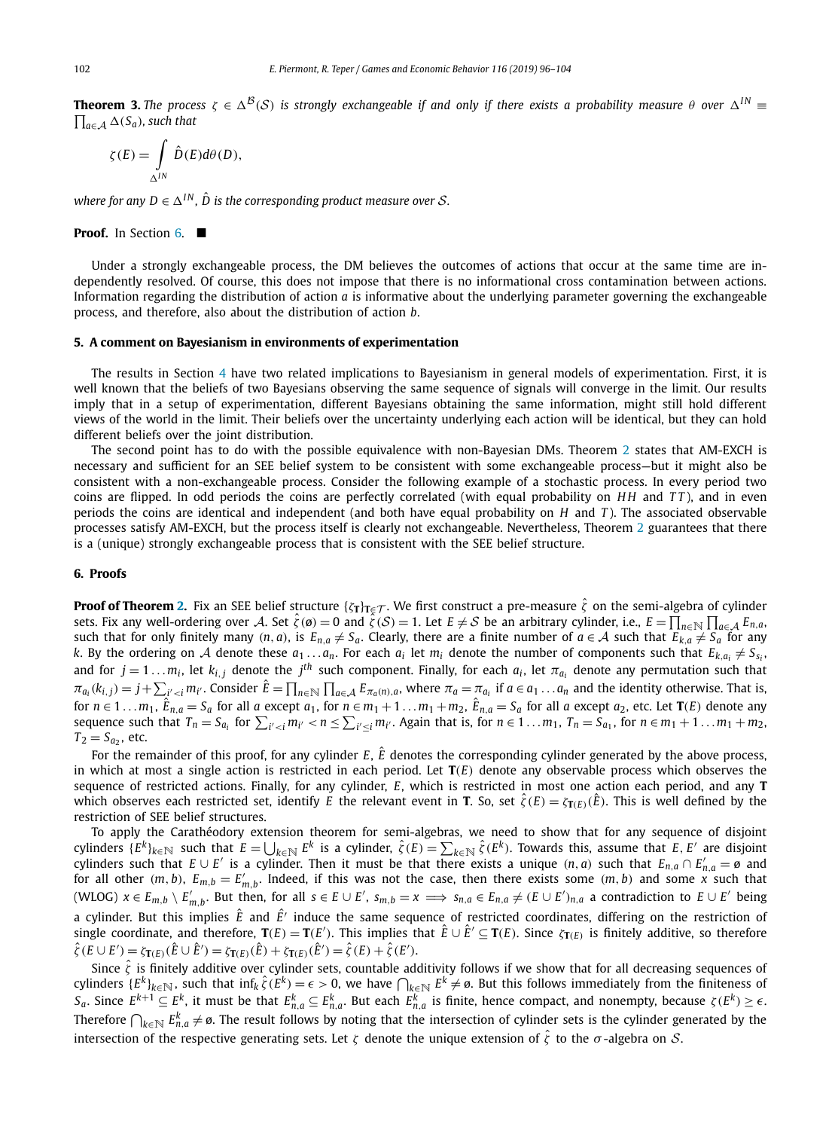<span id="page-6-0"></span>**Theorem 3.** The process  $\zeta \in \Delta^B(S)$  is strongly exchangeable if and only if there exists a probability measure  $\theta$  over  $\Delta^{IN}$  $\prod_{a \in A}$  ∆(*S<sub>a</sub>*), *such that* 

$$
\zeta(E) = \int\limits_{\Delta^{IN}} \hat{D}(E) d\theta(D),
$$

*where for any*  $D \in \Delta^{IN}$ ,  $\hat{D}$  *is the corresponding product measure over S*.

#### **Proof.** In Section 6.  $\blacksquare$

Under a strongly exchangeable process, the DM believes the outcomes of actions that occur at the same time are independently resolved. Of course, this does not impose that there is no informational cross contamination between actions. Information regarding the distribution of action *a* is informative about the underlying parameter governing the exchangeable process, and therefore, also about the distribution of action *b*.

#### **5. A comment on Bayesianism in environments of experimentation**

The results in Section [4](#page-5-0) have two related implications to Bayesianism in general models of experimentation. First, it is well known that the beliefs of two Bayesians observing the same sequence of signals will converge in the limit. Our results imply that in a setup of experimentation, different Bayesians obtaining the same information, might still hold different views of the world in the limit. Their beliefs over the uncertainty underlying each action will be identical, but they can hold different beliefs over the joint distribution.

The second point has to do with the possible equivalence with non-Bayesian DMs. Theorem [2](#page-5-0) states that AM-EXCH is necessary and sufficient for an SEE belief system to be consistent with some exchangeable process—but it might also be consistent with a non-exchangeable process. Consider the following example of a stochastic process. In every period two coins are flipped. In odd periods the coins are perfectly correlated (with equal probability on *H H* and *T T* ), and in even periods the coins are identical and independent (and both have equal probability on *H* and *T* ). The associated observable processes satisfy AM-EXCH, but the process itself is clearly not exchangeable. Nevertheless, Theorem [2](#page-5-0) guarantees that there is a (unique) strongly exchangeable process that is consistent with the SEE belief structure.

### **6. Proofs**

**Proof of Theorem [2.](#page-5-0)** Fix an SEE belief structure  $\{\zeta_T\}_{T \in \mathcal{T}}$ . We first construct a pre-measure  $\hat{\zeta}$  on the semi-algebra of cylinder sets. Fix any well-ordering over A. Set  $\hat{\zeta}(\mathcal{O}) = 0$  and  $\hat{\zeta}(\mathcal{S}) = 1$ . Let  $E \neq \mathcal{S}$  be an arbitrary cylinder, i.e.,  $E = \prod_{n \in \mathbb{N}} \prod_{a \in \mathcal{A}} E_{n,a}$ such that for only finitely many  $(n, a)$ , is  $E_{n,a} \neq S_a$ . Clearly, there are a finite number of  $a \in A$  such that  $E_{k,a} \neq S_a$  for any *k*. By the ordering on A denote these  $a_1...a_n$ . For each  $a_i$  let  $m_i$  denote the number of components such that  $E_{k,a_i} \neq S_{s_i}$ and for  $j = 1 \ldots m_i$ , let  $k_{i,j}$  denote the  $j^{th}$  such component. Finally, for each  $a_i$ , let  $\pi_{a_i}$  denote any permutation such that  $\pi_{a_i}(k_{i,j}) = j + \sum_{i' < i} m_{i'}$ . Consider  $\hat{E} = \prod_{n \in \mathbb{N}} \prod_{a \in \mathcal{A}} E_{\pi_a(n),a}$ , where  $\pi_a = \pi_{a_i}$  if  $a \in a_1 \dots a_n$  and the identity otherwise. That is, for  $n\in 1\ldots m_1$ ,  $\hat{E}_{n,a}=S_a$  for all  $a$  except  $a_1$ , for  $n\in m_1+1\ldots m_1+m_2$ ,  $\hat{E}_{n,a}=S_a$  for all  $a$  except  $a_2$ , etc. Let  $\mathbf{T}(E)$  denote any sequence such that  $T_n=S_{a_i}$  for  $\sum_{i'. Again that is, for  $n\in1\ldots m_1$ ,  $T_n=S_{a_1}$ , for  $n\in m_1+1\ldots m_1+m_2$ .$  $T_2 = S_{a_2}$ , etc.

For the remainder of this proof, for any cylinder  $E$ ,  $\hat{E}$  denotes the corresponding cylinder generated by the above process, in which at most a single action is restricted in each period. Let **T***(E)* denote any observable process which observes the sequence of restricted actions. Finally, for any cylinder, *E*, which is restricted in most one action each period, and any **T** which observes each restricted set, identify *E* the relevant event in **T**. So, set  $\hat{\zeta}(E) = \zeta_{\text{T}(E)}(\hat{E})$ . This is well defined by the restriction of SEE belief structures.

To apply the Carathéodory extension theorem for semi-algebras, we need to show that for any sequence of disjoint cylinders  $\{E^k\}_{k\in\mathbb{N}}$  such that  $E=\bigcup_{k\in\mathbb{N}}E^k$  is a cylinder,  $\hat{\zeta}(E)=\sum_{k\in\mathbb{N}}\hat{\zeta}(E^k)$ . Towards this, assume that  $E, E'$  are disjoint cylinders such that  $E \cup E'$  is a cylinder. Then it must be that there exists a unique  $(n, a)$  such that  $E_{n,a} \cap E'_{n,a} = \emptyset$  and for all other  $(m, b)$ ,  $E_{m,b} = E'_{m,b}$ . Indeed, if this was not the case, then there exists some  $(m, b)$  and some x such that (WLOG)  $x \in E_{m,b} \setminus E'_{m,b}$ . But then, for all  $s \in E \cup E'$ ,  $s_{m,b} = x \implies s_{n,a} \in E_{n,a} \neq (E \cup E')_{n,a}$  a contradiction to  $E \cup E'$  being a cylinder. But this implies  $\hat{E}$  and  $\hat{E}'$  induce the same sequence of restricted coordinates, differing on the restriction of single coordinate, and therefore,  $T(E) = T(E')$ . This implies that  $\hat{E} \cup \hat{E}' \subseteq T(E)$ . Since  $\zeta_{T(E)}$  is finitely additive, so therefore  $\hat{\zeta}(E \cup E') = \zeta_{\mathbf{T}(E)}(\hat{E} \cup \hat{E}') = \zeta_{\mathbf{T}(E)}(\hat{E}) + \zeta_{\mathbf{T}(E)}(\hat{E}') = \hat{\zeta}(E) + \hat{\zeta}(E').$ 

Since  $\hat{\zeta}$  is finitely additive over cylinder sets, countable additivity follows if we show that for all decreasing sequences of cylinders  $\{E^k\}_{k\in\mathbb{N}}$ , such that  $\inf_k \hat{\zeta}(E^k) = \epsilon > 0$ , we have  $\bigcap_{k\in\mathbb{N}} E^k \neq \emptyset$ . But this follows immediately from the finiteness of  $S_a.$  Since  $E^{k+1}\subseteq E^k$ , it must be that  $E^k_{n,a}\subseteq E^k_{n,a}.$  But each  $E^k_{n,a}$  is finite, hence compact, and nonempty, because  $\zeta(E^k)\geq\epsilon.$ Therefore  $\bigcap_{k\in\mathbb{N}}E_{n,a}^k\neq\emptyset$ . The result follows by noting that the intersection of cylinder sets is the cylinder generated by the intersection of the respective generating sets. Let *<sup>ζ</sup>* denote the unique extension of *<sup>ζ</sup>*<sup>ˆ</sup> to the *<sup>σ</sup>* -algebra on <sup>S</sup>.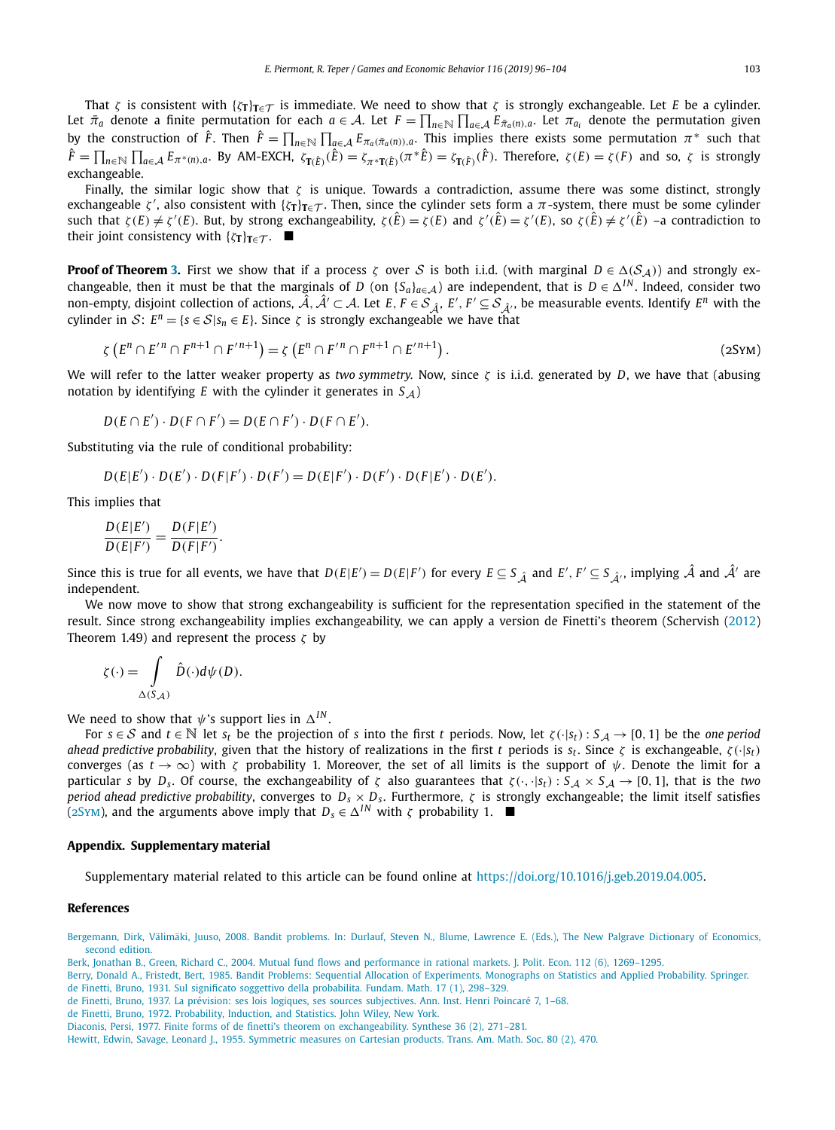<span id="page-7-0"></span>That *<sup>ζ</sup>* is consistent with {*ζ***T**}**T**∈<sup>T</sup> is immediate. We need to show that *<sup>ζ</sup>* is strongly exchangeable. Let *<sup>E</sup>* be <sup>a</sup> cylinder. Let  $\bar{\pi}_a$  denote a finite permutation for each  $a \in \mathcal{A}$ . Let  $F = \prod_{n \in \mathbb{N}} \prod_{a \in \mathcal{A}} E_{\bar{\pi}_a(n),a}$ . Let  $\pi_{a_i}$  denote the permutation given by the construction of  $\hat{F}$ . Then  $\hat{F} = \prod_{n \in \mathbb{N}} \prod_{\alpha \in \mathcal{A}} E_{\pi_\alpha(\bar{\pi}_\alpha(n)),\alpha}$ . This implies there exists some permutation  $\pi^*$  such that  $\hat{F} = \prod_{n \in \mathbb{N}} \prod_{a \in \mathcal{A}} E_{\pi^*(n),a}$ . By AM-EXCH,  $\zeta_{\mathbf{T}(\hat{E})}(\hat{E}) = \zeta_{\pi^*\mathbf{T}(\hat{E})}(\pi^*\hat{E}) = \zeta_{\mathbf{T}(\hat{F})}(\hat{F})$ . Therefore,  $\zeta(E) = \zeta(F)$  and so,  $\zeta$  is strongly exchangeable.

Finally, the similar logic show that *ζ* is unique. Towards a contradiction, assume there was some distinct, strongly exchangeable *ζ'*, also consistent with  $\{\zeta_T\}_{T \in \mathcal{T}}$ . Then, since the cylinder sets form a *π*-system, there must be some cylinder such that  $\zeta(E) \neq \zeta'(E)$ . But, by strong exchangeability,  $\zeta(\hat{E}) = \zeta(E)$  and  $\zeta'(\hat{E}) = \zeta'(E)$ , so  $\zeta(\hat{E}) \neq \zeta'(\hat{E})$  -a contradiction to their joint consistency with  $\{\zeta_{\mathbf{T}}\}_{\mathbf{T}\in\mathcal{T}}$ .  $\blacksquare$ 

**Proof of Theorem [3.](#page-6-0)** First we show that if a process *ζ* over *S* is both i.i.d. (with marginal  $D \in \Delta(S_A)$ ) and strongly exchangeable, then it must be that the marginals of *D* (on { $S_a$ }<sub>*a*∈A</sub>) are independent, that is  $D \in \Delta^{IN}$ . Indeed, consider two non-empty, disjoint collection of actions,  $\hat{A}$ ,  $\hat{A}' \subset A$ . Let  $E$ ,  $F \in S_{\hat{A}}$ ,  $E'$ ,  $F' \subseteq S_{\hat{A}}$ , be measurable events. Identify  $E^n$  with the cylinder in S:  $E^n = \{s \in S | s_n \in E\}$ . Since  $\zeta$  is strongly exchangeable we have that

$$
\zeta\left(E^{n}\cap E^{\prime n}\cap F^{n+1}\cap F^{\prime n+1}\right)=\zeta\left(E^{n}\cap F^{\prime n}\cap F^{n+1}\cap E^{\prime n+1}\right).
$$
\n(2SYM)

We will refer to the latter weaker property as *two symmetry.* Now, since *ζ* is i.i.d. generated by *D*, we have that (abusing notation by identifying *E* with the cylinder it generates in  $S_A$ )

$$
D(E \cap E') \cdot D(F \cap F') = D(E \cap F') \cdot D(F \cap E').
$$

Substituting via the rule of conditional probability:

$$
D(E|E') \cdot D(E') \cdot D(F|F') \cdot D(F') = D(E|F') \cdot D(F') \cdot D(F|E') \cdot D(E').
$$

This implies that

$$
\frac{D(E|E')}{D(E|F')} = \frac{D(F|E')}{D(F|F')}.
$$

Since this is true for all events, we have that  $D(E|E') = D(E|F')$  for every  $E \subseteq S_{\hat{\mathcal{A}}}$  and  $E', F' \subseteq S_{\hat{\mathcal{A}}'}$ , implying  $\hat{\mathcal{A}}$  and  $\hat{\mathcal{A}}'$  are independent.

We now move to show that strong exchangeability is sufficient for the representation specified in the statement of the result. Since strong exchangeability implies exchangeability, we can apply a version de Finetti's theorem (Schervish [\(2012\)](#page-8-0) Theorem 1.49) and represent the process *ζ* by

$$
\zeta(\cdot) = \int\limits_{\Delta(S_{\mathcal{A}})} \hat{D}(\cdot) d\psi(D).
$$

We need to show that  $\psi$ 's support lies in  $\Delta^{IN}$ .

For  $s \in S$  and  $t \in \mathbb{N}$  let  $s_t$  be the projection of *s* into the first *t* periods. Now, let  $\zeta(\cdot|s_t)$ :  $S_A \to [0,1]$  be the *one* period *ahead predictive probability*, given that the history of realizations in the first *t* periods is  $s_t$ . Since  $\zeta$  is exchangeable,  $\zeta(\cdot|s_t)$ converges (as  $t \to \infty$ ) with *ζ* probability 1. Moreover, the set of all limits is the support of  $\psi$ . Denote the limit for a particular *s* by *D<sub>s</sub>*. Of course, the exchangeability of *ζ* also guarantees that  $\zeta(\cdot, \cdot|s_t)$ :  $S_A \times S_A \rightarrow [0, 1]$ , that is the *two period ahead predictive probability*, converges to  $D_s \times D_s$ . Furthermore,  $\zeta$  is strongly exchangeable; the limit itself satisfies (2Sym), and the arguments above imply that  $D_s \in \Delta^{IN}$  with  $\zeta$  probability 1.  $\blacksquare$ 

#### **Appendix. Supplementary material**

Supplementary material related to this article can be found online at [https://doi.org/10.1016/j.geb.2019.04.005.](https://doi.org/10.1016/j.geb.2019.04.005)

#### **References**

[Bergemann,](http://refhub.elsevier.com/S0899-8256(19)30055-7/bib42657267656D616E6E32303038s1) Dirk, Välimäki, Juuso, 2008. Bandit problems. In: Durlauf, Steven N., Blume, Lawrence E. (Eds.), The New Palgrave Dictionary of Economics, second [edition.](http://refhub.elsevier.com/S0899-8256(19)30055-7/bib42657267656D616E6E32303038s1)

Berk, Jonathan B., Green, Richard C., 2004. Mutual fund flows and [performance](http://refhub.elsevier.com/S0899-8256(19)30055-7/bib6265726B323030346D757475616Cs1) in rational markets. J. Polit. Econ. 112 (6), 1269–1295.

Berry, Donald A., Fristedt, Bert, 1985. Bandit Problems: Sequential Allocation of [Experiments.](http://refhub.elsevier.com/S0899-8256(19)30055-7/bib62657272793139383562616E646974s1) Monographs on Statistics and Applied Probability. Springer.

de Finetti, Bruno, 1931. Sul significato soggettivo della [probabilita.](http://refhub.elsevier.com/S0899-8256(19)30055-7/bib64653139333165786368s1) Fundam. Math. 17 (1), 298–329.

de Finetti, Bruno, 1937. La prévision: ses lois logiques, ses sources [subjectives.](http://refhub.elsevier.com/S0899-8256(19)30055-7/bib646531393337707265766973696F6Es1) Ann. Inst. Henri Poincaré 7, 1–68.

de Finetti, Bruno, 1972. [Probability,](http://refhub.elsevier.com/S0899-8256(19)30055-7/bib646546696E65747469313937322D444546504941s1) Induction, and Statistics. John Wiley, New York.

Diaconis, Persi, 1977. Finite forms of de finetti's theorem on [exchangeability.](http://refhub.elsevier.com/S0899-8256(19)30055-7/bib646961636F6E69733139373766696E697465s1) Synthese 36 (2), 271–281.

Hewitt, Edwin, Savage, Leonard J., 1955. [Symmetric](http://refhub.elsevier.com/S0899-8256(19)30055-7/bib48657769747431393535s1) measures on Cartesian products. Trans. Am. Math. Soc. 80 (2), 470.